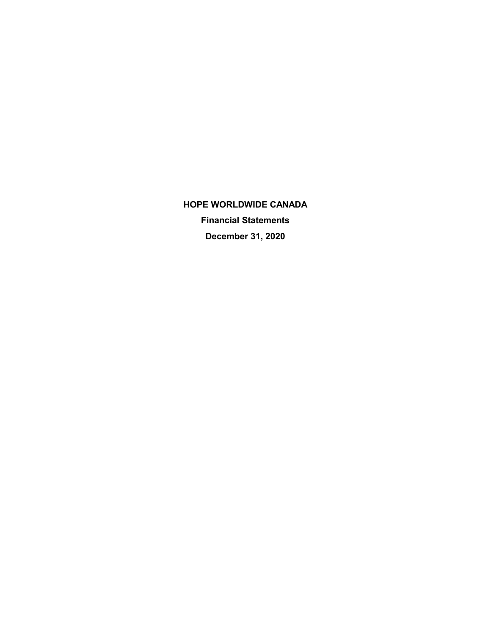**HOPE WORLDWIDE CANADA Financial Statements December 31, 2020**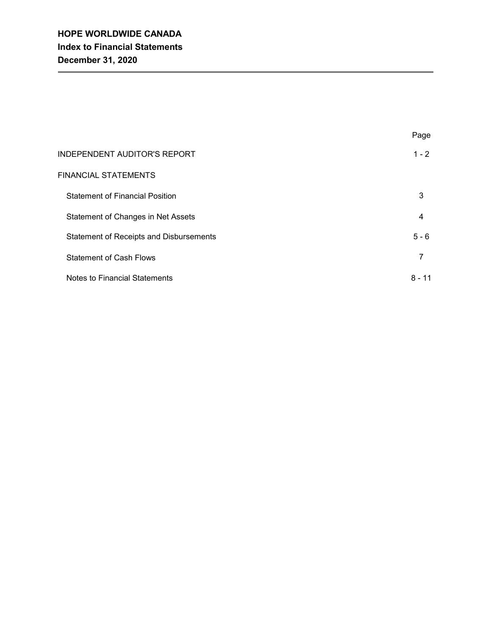|                                         | Page     |
|-----------------------------------------|----------|
| INDEPENDENT AUDITOR'S REPORT            | $1 - 2$  |
| <b>FINANCIAL STATEMENTS</b>             |          |
| <b>Statement of Financial Position</b>  | 3        |
| Statement of Changes in Net Assets      | 4        |
| Statement of Receipts and Disbursements | $5 - 6$  |
| <b>Statement of Cash Flows</b>          | 7        |
| Notes to Financial Statements           | $8 - 11$ |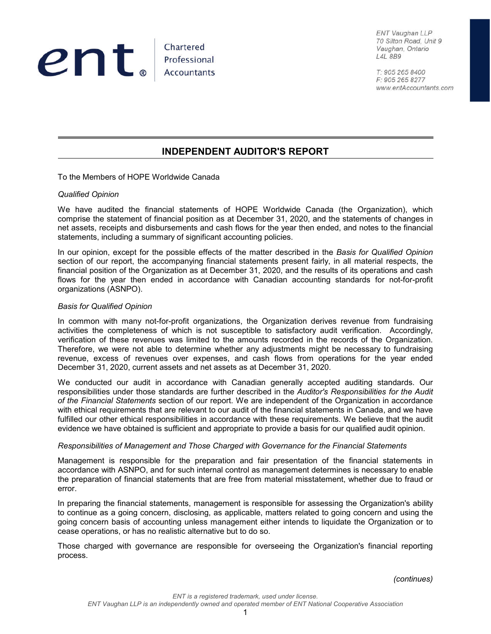

ENT Vaughan LLP 70 Silton Road, Unit 9 Vaughan, Ontario L4L 8B9

T: 905 265 8400 F: 905 265 8277 www.entAccountants.com

## **INDEPENDENT AUDITOR'S REPORT**

To the Members of HOPE Worldwide Canada

#### *Qualified Opinion*

We have audited the financial statements of HOPE Worldwide Canada (the Organization), which comprise the statement of financial position as at December 31, 2020, and the statements of changes in net assets, receipts and disbursements and cash flows for the year then ended, and notes to the financial statements, including a summary of significant accounting policies.

In our opinion, except for the possible effects of the matter described in the *Basis for Qualified Opinion* section of our report, the accompanying financial statements present fairly, in all material respects, the financial position of the Organization as at December 31, 2020, and the results of its operations and cash flows for the year then ended in accordance with Canadian accounting standards for not-for-profit organizations (ASNPO).

#### *Basis for Qualified Opinion*

In common with many not-for-profit organizations, the Organization derives revenue from fundraising activities the completeness of which is not susceptible to satisfactory audit verification. Accordingly, verification of these revenues was limited to the amounts recorded in the records of the Organization. Therefore, we were not able to determine whether any adjustments might be necessary to fundraising revenue, excess of revenues over expenses, and cash flows from operations for the year ended December 31, 2020, current assets and net assets as at December 31, 2020.

We conducted our audit in accordance with Canadian generally accepted auditing standards. Our responsibilities under those standards are further described in the *Auditor's Responsibilities for the Audit of the Financial Statements* section of our report. We are independent of the Organization in accordance with ethical requirements that are relevant to our audit of the financial statements in Canada, and we have fulfilled our other ethical responsibilities in accordance with these requirements. We believe that the audit evidence we have obtained is sufficient and appropriate to provide a basis for our qualified audit opinion.

#### *Responsibilities of Management and Those Charged with Governance for the Financial Statements*

Management is responsible for the preparation and fair presentation of the financial statements in accordance with ASNPO, and for such internal control as management determines is necessary to enable the preparation of financial statements that are free from material misstatement, whether due to fraud or error.

In preparing the financial statements, management is responsible for assessing the Organization's ability to continue as a going concern, disclosing, as applicable, matters related to going concern and using the going concern basis of accounting unless management either intends to liquidate the Organization or to cease operations, or has no realistic alternative but to do so.

Those charged with governance are responsible for overseeing the Organization's financial reporting process.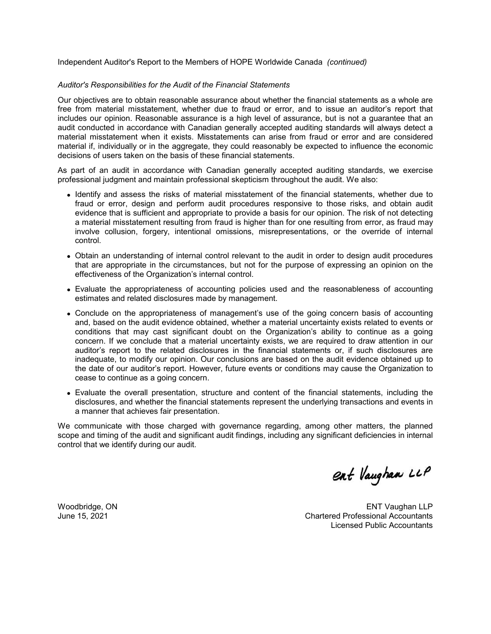#### Independent Auditor's Report to the Members of HOPE Worldwide Canada *(continued)*

#### *Auditor's Responsibilities for the Audit of the Financial Statements*

Our objectives are to obtain reasonable assurance about whether the financial statements as a whole are free from material misstatement, whether due to fraud or error, and to issue an auditor's report that includes our opinion. Reasonable assurance is a high level of assurance, but is not a guarantee that an audit conducted in accordance with Canadian generally accepted auditing standards will always detect a material misstatement when it exists. Misstatements can arise from fraud or error and are considered material if, individually or in the aggregate, they could reasonably be expected to influence the economic decisions of users taken on the basis of these financial statements.

As part of an audit in accordance with Canadian generally accepted auditing standards, we exercise professional judgment and maintain professional skepticism throughout the audit. We also:

- Identify and assess the risks of material misstatement of the financial statements, whether due to fraud or error, design and perform audit procedures responsive to those risks, and obtain audit evidence that is sufficient and appropriate to provide a basis for our opinion. The risk of not detecting a material misstatement resulting from fraud is higher than for one resulting from error, as fraud may involve collusion, forgery, intentional omissions, misrepresentations, or the override of internal control.
- Obtain an understanding of internal control relevant to the audit in order to design audit procedures that are appropriate in the circumstances, but not for the purpose of expressing an opinion on the effectiveness of the Organization's internal control.
- Evaluate the appropriateness of accounting policies used and the reasonableness of accounting estimates and related disclosures made by management.
- Conclude on the appropriateness of management's use of the going concern basis of accounting and, based on the audit evidence obtained, whether a material uncertainty exists related to events or conditions that may cast significant doubt on the Organization's ability to continue as a going concern. If we conclude that a material uncertainty exists, we are required to draw attention in our auditor's report to the related disclosures in the financial statements or, if such disclosures are inadequate, to modify our opinion. Our conclusions are based on the audit evidence obtained up to the date of our auditor's report. However, future events or conditions may cause the Organization to cease to continue as a going concern.
- Evaluate the overall presentation, structure and content of the financial statements, including the disclosures, and whether the financial statements represent the underlying transactions and events in a manner that achieves fair presentation.

We communicate with those charged with governance regarding, among other matters, the planned scope and timing of the audit and significant audit findings, including any significant deficiencies in internal control that we identify during our audit.

ent Vaughan LLP

Woodbridge, ON ENT Vaughan LLP June 15, 2021 Chartered Professional Accountants Licensed Public Accountants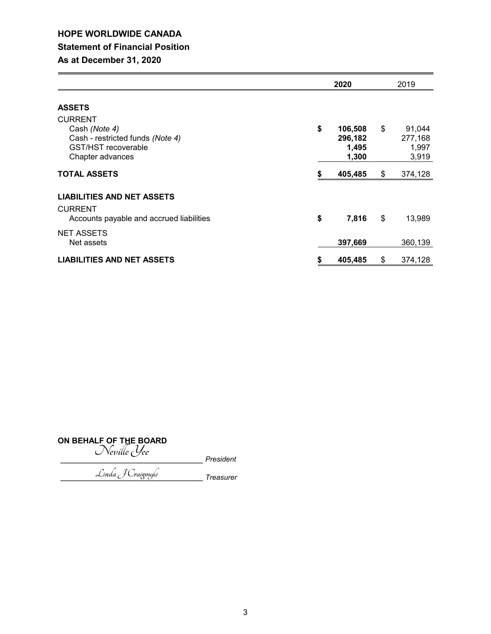### **Statement of Financial Position**

## **As at December 31, 2020**

|                                                                                                                       | 2020 |                                      | 2019                                      |  |
|-----------------------------------------------------------------------------------------------------------------------|------|--------------------------------------|-------------------------------------------|--|
| <b>ASSETS</b>                                                                                                         |      |                                      |                                           |  |
| <b>CURRENT</b><br>Cash (Note 4)<br>Cash - restricted funds (Note 4)<br><b>GST/HST</b> recoverable<br>Chapter advances | \$   | 106,508<br>296,182<br>1,495<br>1,300 | \$<br>91,044<br>277,168<br>1,997<br>3,919 |  |
| <b>TOTAL ASSETS</b>                                                                                                   | S    | 405,485                              | \$<br>374,128                             |  |
| <b>LIABILITIES AND NET ASSETS</b><br><b>CURRENT</b><br>Accounts payable and accrued liabilities                       | \$   | 7,816                                | \$<br>13,989                              |  |
| <b>NET ASSETS</b><br>Net assets                                                                                       |      | 397,669                              | 360,139                                   |  |
| <b>LIABILITIES AND NET ASSETS</b>                                                                                     | \$   | 405,485                              | \$<br>374,128                             |  |

**ON BEHALF OF THE BOARD**

\_\_\_\_\_\_\_\_\_\_\_\_\_\_\_\_\_\_\_\_\_\_\_\_\_\_\_\_\_ *President*

\_\_\_\_\_\_\_\_\_\_\_\_\_\_\_\_\_\_\_\_\_\_\_\_\_\_\_\_\_ *Treasurer*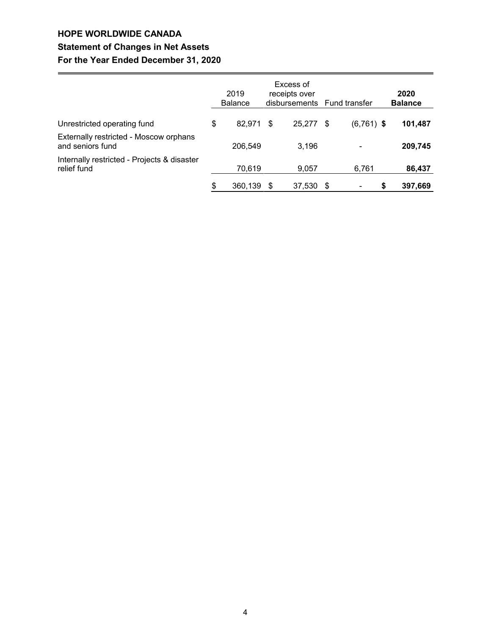## **Statement of Changes in Net Assets**

## **For the Year Ended December 31, 2020**

|                                                            |    | 2019<br><b>Balance</b> |     | Excess of<br>receipts over<br>disbursements Fund transfer |      |              | 2020<br><b>Balance</b> |
|------------------------------------------------------------|----|------------------------|-----|-----------------------------------------------------------|------|--------------|------------------------|
| Unrestricted operating fund                                | \$ | 82,971 \$              |     | 25.277                                                    | -\$  | $(6,761)$ \$ | 101,487                |
| Externally restricted - Moscow orphans<br>and seniors fund |    | 206,549                |     | 3.196                                                     |      |              | 209,745                |
| Internally restricted - Projects & disaster<br>relief fund |    | 70,619                 |     | 9,057                                                     |      | 6,761        | 86,437                 |
|                                                            | S  | 360,139                | \$. | 37,530                                                    | - \$ | S            | 397,669                |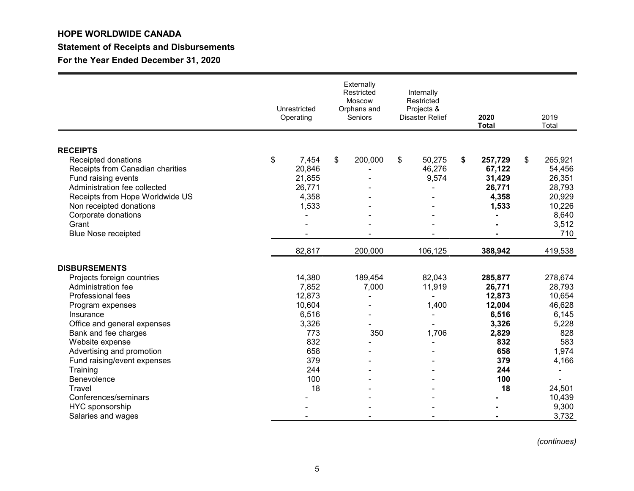### **Statement of Receipts and Disbursements**

**For the Year Ended December 31, 2020**

|                                  | Unrestricted<br>Operating | Externally<br>Restricted<br><b>Moscow</b><br>Orphans and<br>Seniors | Internally<br>Restricted<br>Projects &<br><b>Disaster Relief</b> | 2020<br><b>Total</b> | 2019<br>Total  |
|----------------------------------|---------------------------|---------------------------------------------------------------------|------------------------------------------------------------------|----------------------|----------------|
|                                  |                           |                                                                     |                                                                  |                      |                |
| <b>RECEIPTS</b>                  |                           |                                                                     |                                                                  |                      |                |
| Receipted donations              | \$<br>7,454               | \$<br>200,000                                                       | \$<br>50,275                                                     | \$<br>257,729        | \$<br>265,921  |
| Receipts from Canadian charities | 20,846                    |                                                                     | 46,276                                                           | 67,122               | 54,456         |
| Fund raising events              | 21,855                    |                                                                     | 9,574                                                            | 31,429               | 26,351         |
| Administration fee collected     | 26,771                    |                                                                     |                                                                  | 26,771               | 28,793         |
| Receipts from Hope Worldwide US  | 4,358                     |                                                                     |                                                                  | 4,358                | 20,929         |
| Non receipted donations          | 1,533                     |                                                                     |                                                                  | 1,533                | 10,226         |
| Corporate donations              |                           |                                                                     |                                                                  |                      | 8,640          |
| Grant                            |                           |                                                                     |                                                                  |                      | 3,512          |
| <b>Blue Nose receipted</b>       |                           |                                                                     |                                                                  |                      | 710            |
|                                  | 82,817                    | 200,000                                                             | 106,125                                                          | 388,942              | 419,538        |
|                                  |                           |                                                                     |                                                                  |                      |                |
| <b>DISBURSEMENTS</b>             |                           |                                                                     |                                                                  |                      |                |
| Projects foreign countries       | 14,380                    | 189,454                                                             | 82,043                                                           | 285,877              | 278,674        |
| Administration fee               | 7,852                     | 7,000                                                               | 11,919                                                           | 26,771               | 28,793         |
| Professional fees                | 12,873                    |                                                                     |                                                                  | 12,873               | 10,654         |
| Program expenses                 | 10,604                    |                                                                     | 1,400                                                            | 12,004               | 46,628         |
| Insurance                        | 6,516                     |                                                                     |                                                                  | 6,516                | 6,145          |
| Office and general expenses      | 3,326                     |                                                                     |                                                                  | 3,326                | 5,228          |
| Bank and fee charges             | 773                       | 350                                                                 | 1,706                                                            | 2,829                | 828            |
| Website expense                  | 832                       |                                                                     |                                                                  | 832                  | 583            |
| Advertising and promotion        | 658<br>379                |                                                                     |                                                                  | 658                  | 1,974          |
| Fund raising/event expenses      |                           |                                                                     |                                                                  | 379                  | 4,166          |
| Training<br>Benevolence          | 244<br>100                |                                                                     |                                                                  | 244<br>100           | $\blacksquare$ |
| Travel                           | 18                        |                                                                     |                                                                  | 18                   | 24,501         |
| Conferences/seminars             |                           |                                                                     |                                                                  |                      | 10,439         |
| HYC sponsorship                  |                           |                                                                     |                                                                  |                      | 9,300          |
| Salaries and wages               |                           |                                                                     |                                                                  |                      | 3,732          |
|                                  |                           |                                                                     |                                                                  |                      |                |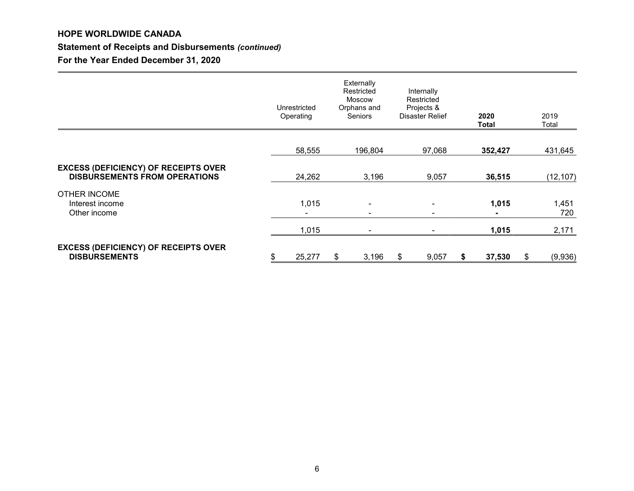**Statement of Receipts and Disbursements** *(continued)*

**For the Year Ended December 31, 2020**

|                                                                                     |     | Unrestricted<br>Operating | Externally<br>Restricted<br><b>Moscow</b><br>Orphans and<br><b>Seniors</b> | Internally<br>Restricted<br>Projects &<br>Disaster Relief |   | 2020<br><b>Total</b> | 2019<br>Total |
|-------------------------------------------------------------------------------------|-----|---------------------------|----------------------------------------------------------------------------|-----------------------------------------------------------|---|----------------------|---------------|
|                                                                                     |     | 58,555                    | 196,804                                                                    | 97,068                                                    |   | 352,427              | 431,645       |
| <b>EXCESS (DEFICIENCY) OF RECEIPTS OVER</b><br><b>DISBURSEMENTS FROM OPERATIONS</b> |     | 24,262                    | 3,196                                                                      | 9,057                                                     |   | 36,515               | (12, 107)     |
| <b>OTHER INCOME</b><br>Interest income<br>Other income                              |     | 1,015                     | ۰                                                                          | $\blacksquare$                                            |   | 1,015                | 1,451<br>720  |
|                                                                                     |     | 1,015                     |                                                                            |                                                           |   | 1,015                | 2,171         |
| <b>EXCESS (DEFICIENCY) OF RECEIPTS OVER</b><br><b>DISBURSEMENTS</b>                 | \$. | 25,277                    | \$<br>3,196                                                                | \$<br>9,057                                               | S | 37,530               | \$<br>(9,936) |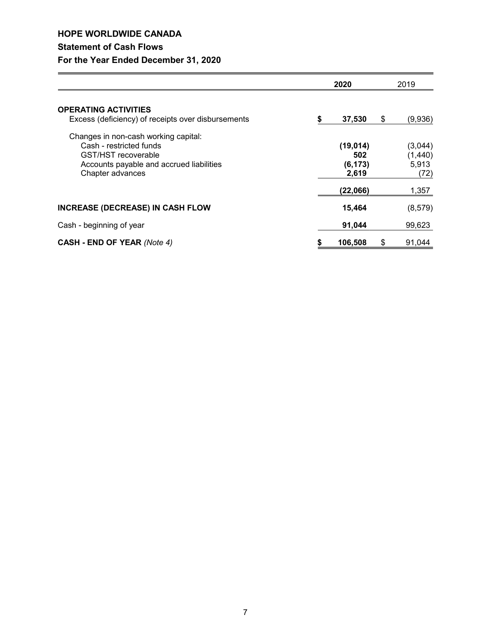## **Statement of Cash Flows**

## **For the Year Ended December 31, 2020**

|                                                                                                                                                               |    | 2020                                  | 2019 |                                      |  |
|---------------------------------------------------------------------------------------------------------------------------------------------------------------|----|---------------------------------------|------|--------------------------------------|--|
| <b>OPERATING ACTIVITIES</b><br>Excess (deficiency) of receipts over disbursements                                                                             | S  | 37,530                                | \$   | (9,936)                              |  |
| Changes in non-cash working capital:<br>Cash - restricted funds<br><b>GST/HST</b> recoverable<br>Accounts payable and accrued liabilities<br>Chapter advances |    | (19, 014)<br>502<br>(6, 173)<br>2,619 |      | (3,044)<br>(1, 440)<br>5,913<br>(72) |  |
|                                                                                                                                                               |    | (22,066)                              |      | 1,357                                |  |
| <b>INCREASE (DECREASE) IN CASH FLOW</b>                                                                                                                       |    | 15,464                                |      | (8,579)                              |  |
| Cash - beginning of year                                                                                                                                      |    | 91,044                                |      | 99,623                               |  |
| <b>CASH - END OF YEAR (Note 4)</b>                                                                                                                            | \$ | 106,508                               | \$   | 91,044                               |  |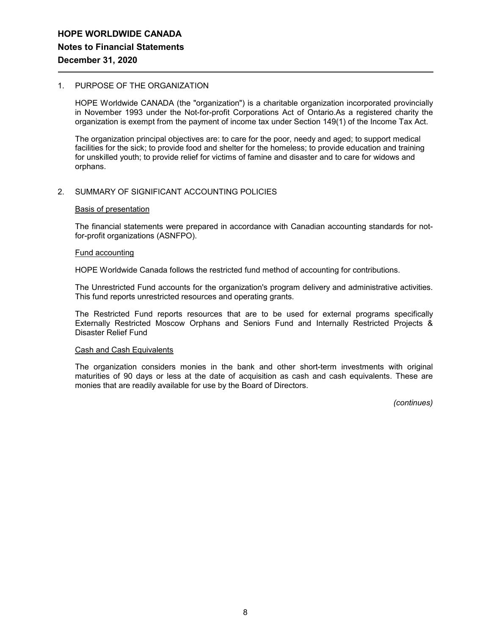#### 1. PURPOSE OF THE ORGANIZATION

HOPE Worldwide CANADA (the "organization") is a charitable organization incorporated provincially in November 1993 under the Not-for-profit Corporations Act of Ontario.As a registered charity the organization is exempt from the payment of income tax under Section 149(1) of the Income Tax Act.

The organization principal objectives are: to care for the poor, needy and aged; to support medical facilities for the sick; to provide food and shelter for the homeless; to provide education and training for unskilled youth; to provide relief for victims of famine and disaster and to care for widows and orphans.

#### 2. SUMMARY OF SIGNIFICANT ACCOUNTING POLICIES

#### Basis of presentation

The financial statements were prepared in accordance with Canadian accounting standards for notfor-profit organizations (ASNFPO).

#### Fund accounting

HOPE Worldwide Canada follows the restricted fund method of accounting for contributions.

The Unrestricted Fund accounts for the organization's program delivery and administrative activities. This fund reports unrestricted resources and operating grants.

The Restricted Fund reports resources that are to be used for external programs specifically Externally Restricted Moscow Orphans and Seniors Fund and Internally Restricted Projects & Disaster Relief Fund

#### Cash and Cash Equivalents

The organization considers monies in the bank and other short-term investments with original maturities of 90 days or less at the date of acquisition as cash and cash equivalents. These are monies that are readily available for use by the Board of Directors.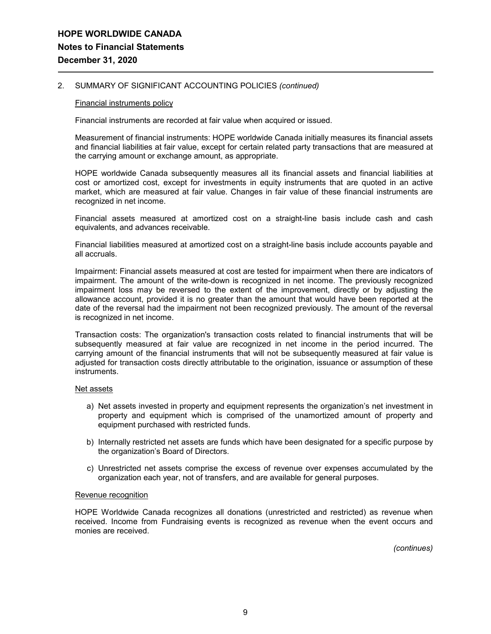#### 2. SUMMARY OF SIGNIFICANT ACCOUNTING POLICIES *(continued)*

#### Financial instruments policy

Financial instruments are recorded at fair value when acquired or issued.

Measurement of financial instruments: HOPE worldwide Canada initially measures its financial assets and financial liabilities at fair value, except for certain related party transactions that are measured at the carrying amount or exchange amount, as appropriate.

HOPE worldwide Canada subsequently measures all its financial assets and financial liabilities at cost or amortized cost, except for investments in equity instruments that are quoted in an active market, which are measured at fair value. Changes in fair value of these financial instruments are recognized in net income.

Financial assets measured at amortized cost on a straight-line basis include cash and cash equivalents, and advances receivable.

Financial liabilities measured at amortized cost on a straight-line basis include accounts payable and all accruals.

Impairment: Financial assets measured at cost are tested for impairment when there are indicators of impairment. The amount of the write-down is recognized in net income. The previously recognized impairment loss may be reversed to the extent of the improvement, directly or by adjusting the allowance account, provided it is no greater than the amount that would have been reported at the date of the reversal had the impairment not been recognized previously. The amount of the reversal is recognized in net income.

Transaction costs: The organization's transaction costs related to financial instruments that will be subsequently measured at fair value are recognized in net income in the period incurred. The carrying amount of the financial instruments that will not be subsequently measured at fair value is adjusted for transaction costs directly attributable to the origination, issuance or assumption of these instruments.

#### Net assets

- a) Net assets invested in property and equipment represents the organization's net investment in property and equipment which is comprised of the unamortized amount of property and equipment purchased with restricted funds.
- b) Internally restricted net assets are funds which have been designated for a specific purpose by the organization's Board of Directors.
- c) Unrestricted net assets comprise the excess of revenue over expenses accumulated by the organization each year, not of transfers, and are available for general purposes.

#### Revenue recognition

HOPE Worldwide Canada recognizes all donations (unrestricted and restricted) as revenue when received. Income from Fundraising events is recognized as revenue when the event occurs and monies are received.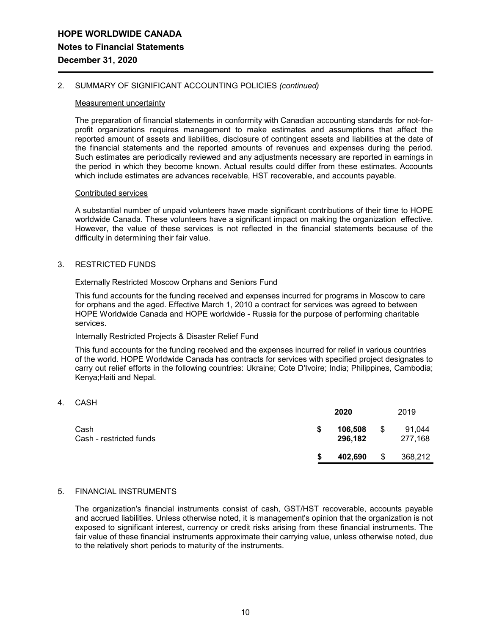#### 2. SUMMARY OF SIGNIFICANT ACCOUNTING POLICIES *(continued)*

#### Measurement uncertainty

The preparation of financial statements in conformity with Canadian accounting standards for not-forprofit organizations requires management to make estimates and assumptions that affect the reported amount of assets and liabilities, disclosure of contingent assets and liabilities at the date of the financial statements and the reported amounts of revenues and expenses during the period. Such estimates are periodically reviewed and any adjustments necessary are reported in earnings in the period in which they become known. Actual results could differ from these estimates. Accounts which include estimates are advances receivable, HST recoverable, and accounts payable.

#### Contributed services

A substantial number of unpaid volunteers have made significant contributions of their time to HOPE worldwide Canada. These volunteers have a significant impact on making the organization effective. However, the value of these services is not reflected in the financial statements because of the difficulty in determining their fair value.

#### 3. RESTRICTED FUNDS

Externally Restricted Moscow Orphans and Seniors Fund

This fund accounts for the funding received and expenses incurred for programs in Moscow to care for orphans and the aged. Effective March 1, 2010 a contract for services was agreed to between HOPE Worldwide Canada and HOPE worldwide - Russia for the purpose of performing charitable services.

#### Internally Restricted Projects & Disaster Relief Fund

This fund accounts for the funding received and the expenses incurred for relief in various countries of the world. HOPE Worldwide Canada has contracts for services with specified project designates to carry out relief efforts in the following countries: Ukraine; Cote D'Ivoire; India; Philippines, Cambodia; Kenya;Haiti and Nepal.

#### 4. CASH

|                                 | 2020                     | 2019 |                   |
|---------------------------------|--------------------------|------|-------------------|
| Cash<br>Cash - restricted funds | 106,508<br>\$<br>296,182 |      | 91,044<br>277,168 |
|                                 | 402,690                  | \$   | 368,212           |

#### 5. FINANCIAL INSTRUMENTS

The organization's financial instruments consist of cash, GST/HST recoverable, accounts payable and accrued liabilities. Unless otherwise noted, it is management's opinion that the organization is not exposed to significant interest, currency or credit risks arising from these financial instruments. The fair value of these financial instruments approximate their carrying value, unless otherwise noted, due to the relatively short periods to maturity of the instruments.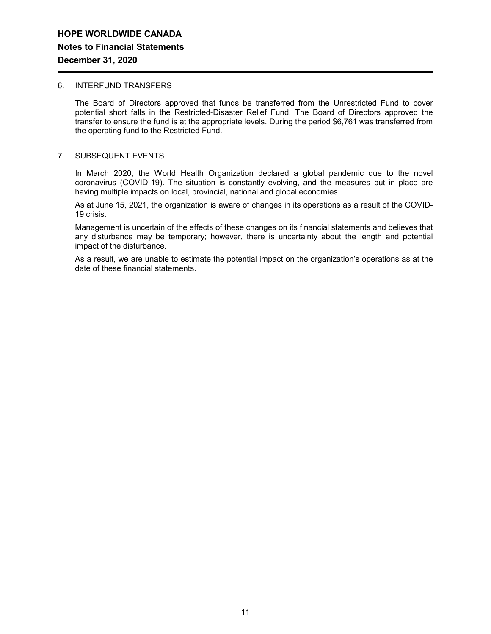#### 6. INTERFUND TRANSFERS

The Board of Directors approved that funds be transferred from the Unrestricted Fund to cover potential short falls in the Restricted-Disaster Relief Fund. The Board of Directors approved the transfer to ensure the fund is at the appropriate levels. During the period \$6,761 was transferred from the operating fund to the Restricted Fund.

#### 7. SUBSEQUENT EVENTS

In March 2020, the World Health Organization declared a global pandemic due to the novel coronavirus (COVID-19). The situation is constantly evolving, and the measures put in place are having multiple impacts on local, provincial, national and global economies.

As at June 15, 2021, the organization is aware of changes in its operations as a result of the COVID-19 crisis.

Management is uncertain of the effects of these changes on its financial statements and believes that any disturbance may be temporary; however, there is uncertainty about the length and potential impact of the disturbance.

As a result, we are unable to estimate the potential impact on the organization's operations as at the date of these financial statements.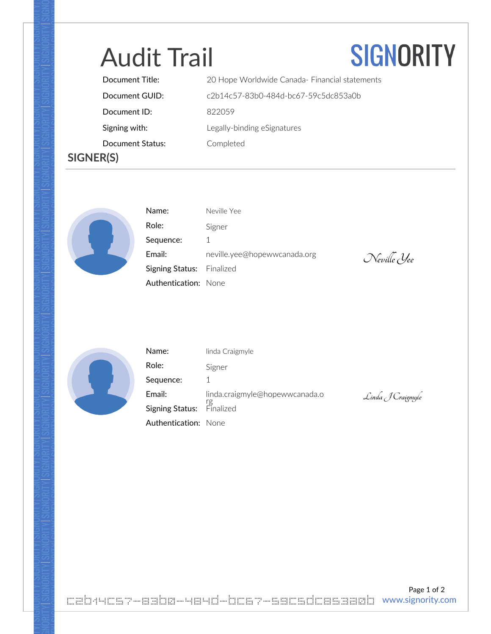## Audit Trail

# **SIGNORITY**

**SIGNER(S)** Document ID: 822059 Document Status: Completed

Document Title: 20 Hope Worldwide Canada- Financial statements Document GUID: c2b14c57-83b0-484d-bc67-59c5dc853a0b Signing with: Legally-binding eSignatures



| Name:                            | Neville Yee                  |
|----------------------------------|------------------------------|
| Role:                            | Signer                       |
| Sequence:                        | 1                            |
| Email:                           | neville.yee@hopewwcanada.org |
| <b>Signing Status:</b> Finalized |                              |
| <b>Authentication:</b> None      |                              |

Neville Yee



| Name:                     | linda Craigmyle                |
|---------------------------|--------------------------------|
| Role:                     | Signer                         |
| Sequence:                 | 1                              |
| Email:                    | linda.craigmyle@hopewwcanada.o |
| Signing Status: Finalized | rg                             |
| Authentication: None      |                                |

Linda J Craigmyle